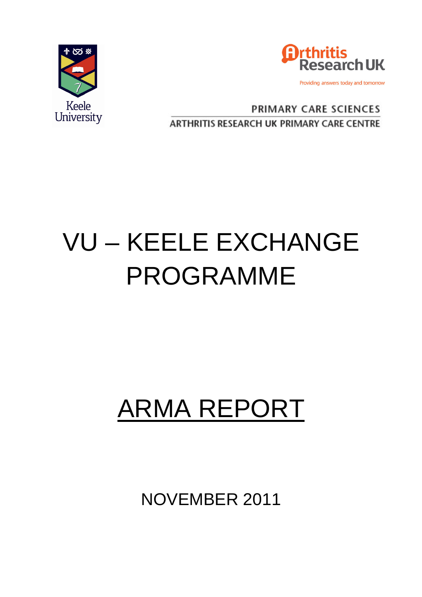



**PRIMARY CARE SCIENCES ARTHRITIS RESEARCH UK PRIMARY CARE CENTRE** 

## VU – KEELE EXCHANGE PROGRAMME

## ARMA REPORT

NOVEMBER 2011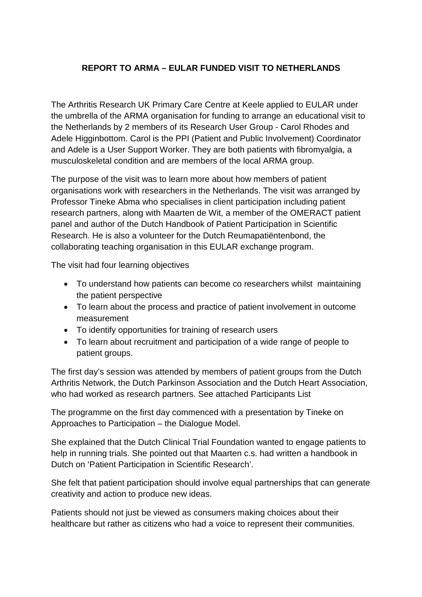## **REPORT TO ARMA – EULAR FUNDED VISIT TO NETHERLANDS**

The Arthritis Research UK Primary Care Centre at Keele applied to EULAR under the umbrella of the ARMA organisation for funding to arrange an educational visit to the Netherlands by 2 members of its Research User Group - Carol Rhodes and Adele Higginbottom. Carol is the PPI (Patient and Public Involvement) Coordinator and Adele is a User Support Worker. They are both patients with fibromyalgia, a musculoskeletal condition and are members of the local ARMA group.

The purpose of the visit was to learn more about how members of patient organisations work with researchers in the Netherlands. The visit was arranged by Professor Tineke Abma who specialises in client participation including patient research partners, along with Maarten de Wit, a member of the OMERACT patient panel and author of the Dutch Handbook of Patient Participation in Scientific Research. He is also a volunteer for the Dutch Reumapatiëntenbond, the collaborating teaching organisation in this EULAR exchange program.

The visit had four learning objectives

- To understand how patients can become co researchers whilst maintaining the patient perspective
- To learn about the process and practice of patient involvement in outcome measurement
- To identify opportunities for training of research users
- To learn about recruitment and participation of a wide range of people to patient groups.

The first day's session was attended by members of patient groups from the Dutch Arthritis Network, the Dutch Parkinson Association and the Dutch Heart Association, who had worked as research partners. See attached Participants List

The programme on the first day commenced with a presentation by Tineke on Approaches to Participation – the Dialogue Model.

She explained that the Dutch Clinical Trial Foundation wanted to engage patients to help in running trials. She pointed out that Maarten c.s. had written a handbook in Dutch on 'Patient Participation in Scientific Research'.

She felt that patient participation should involve equal partnerships that can generate creativity and action to produce new ideas.

Patients should not just be viewed as consumers making choices about their healthcare but rather as citizens who had a voice to represent their communities.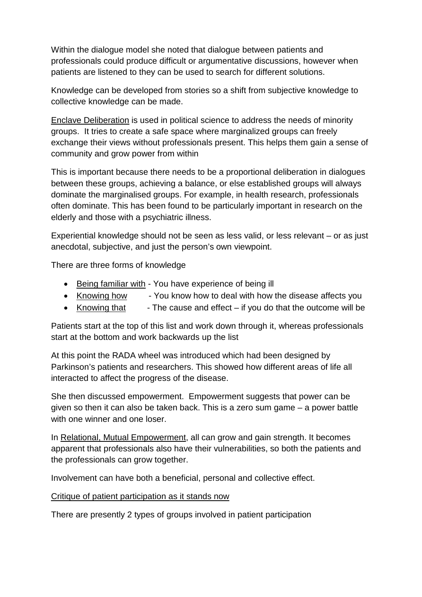Within the dialogue model she noted that dialogue between patients and professionals could produce difficult or argumentative discussions, however when patients are listened to they can be used to search for different solutions.

Knowledge can be developed from stories so a shift from subjective knowledge to collective knowledge can be made.

Enclave Deliberation is used in political science to address the needs of minority groups. It tries to create a safe space where marginalized groups can freely exchange their views without professionals present. This helps them gain a sense of community and grow power from within

This is important because there needs to be a proportional deliberation in dialogues between these groups, achieving a balance, or else established groups will always dominate the marginalised groups. For example, in health research, professionals often dominate. This has been found to be particularly important in research on the elderly and those with a psychiatric illness.

Experiential knowledge should not be seen as less valid, or less relevant – or as just anecdotal, subjective, and just the person's own viewpoint.

There are three forms of knowledge

- Being familiar with You have experience of being ill
- Knowing how You know how to deal with how the disease affects you
- Knowing that  $\qquad$  The cause and effect if you do that the outcome will be

Patients start at the top of this list and work down through it, whereas professionals start at the bottom and work backwards up the list

At this point the RADA wheel was introduced which had been designed by Parkinson's patients and researchers. This showed how different areas of life all interacted to affect the progress of the disease.

She then discussed empowerment. Empowerment suggests that power can be given so then it can also be taken back. This is a zero sum game – a power battle with one winner and one loser.

In Relational, Mutual Empowerment, all can grow and gain strength. It becomes apparent that professionals also have their vulnerabilities, so both the patients and the professionals can grow together.

Involvement can have both a beneficial, personal and collective effect.

Critique of patient participation as it stands now

There are presently 2 types of groups involved in patient participation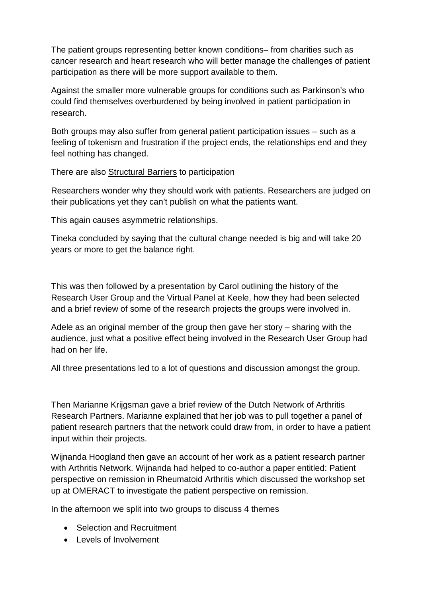The patient groups representing better known conditions– from charities such as cancer research and heart research who will better manage the challenges of patient participation as there will be more support available to them.

Against the smaller more vulnerable groups for conditions such as Parkinson's who could find themselves overburdened by being involved in patient participation in research.

Both groups may also suffer from general patient participation issues – such as a feeling of tokenism and frustration if the project ends, the relationships end and they feel nothing has changed.

There are also Structural Barriers to participation

Researchers wonder why they should work with patients. Researchers are judged on their publications yet they can't publish on what the patients want.

This again causes asymmetric relationships.

Tineka concluded by saying that the cultural change needed is big and will take 20 years or more to get the balance right.

This was then followed by a presentation by Carol outlining the history of the Research User Group and the Virtual Panel at Keele, how they had been selected and a brief review of some of the research projects the groups were involved in.

Adele as an original member of the group then gave her story – sharing with the audience, just what a positive effect being involved in the Research User Group had had on her life.

All three presentations led to a lot of questions and discussion amongst the group.

Then Marianne Krijgsman gave a brief review of the Dutch Network of Arthritis Research Partners. Marianne explained that her job was to pull together a panel of patient research partners that the network could draw from, in order to have a patient input within their projects.

Wijnanda Hoogland then gave an account of her work as a patient research partner with Arthritis Network. Wijnanda had helped to co-author a paper entitled: Patient perspective on remission in Rheumatoid Arthritis which discussed the workshop set up at OMERACT to investigate the patient perspective on remission.

In the afternoon we split into two groups to discuss 4 themes

- Selection and Recruitment
- Levels of Involvement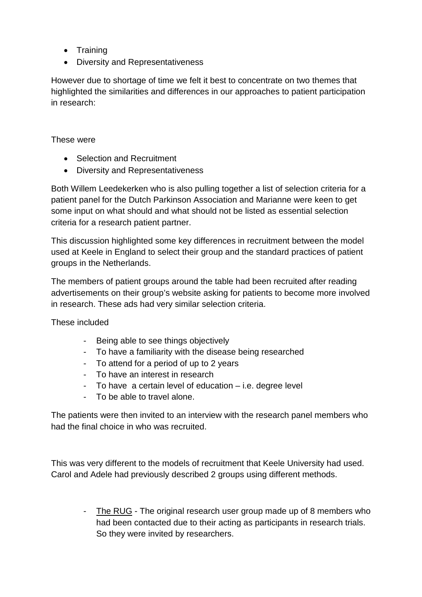- Training
- Diversity and Representativeness

However due to shortage of time we felt it best to concentrate on two themes that highlighted the similarities and differences in our approaches to patient participation in research:

## These were

- Selection and Recruitment
- Diversity and Representativeness

Both Willem Leedekerken who is also pulling together a list of selection criteria for a patient panel for the Dutch Parkinson Association and Marianne were keen to get some input on what should and what should not be listed as essential selection criteria for a research patient partner.

This discussion highlighted some key differences in recruitment between the model used at Keele in England to select their group and the standard practices of patient groups in the Netherlands.

The members of patient groups around the table had been recruited after reading advertisements on their group's website asking for patients to become more involved in research. These ads had very similar selection criteria.

These included

- Being able to see things objectively
- To have a familiarity with the disease being researched
- To attend for a period of up to 2 years
- To have an interest in research
- To have a certain level of education i.e. degree level
- To be able to travel alone.

The patients were then invited to an interview with the research panel members who had the final choice in who was recruited.

This was very different to the models of recruitment that Keele University had used. Carol and Adele had previously described 2 groups using different methods.

> - The RUG - The original research user group made up of 8 members who had been contacted due to their acting as participants in research trials. So they were invited by researchers.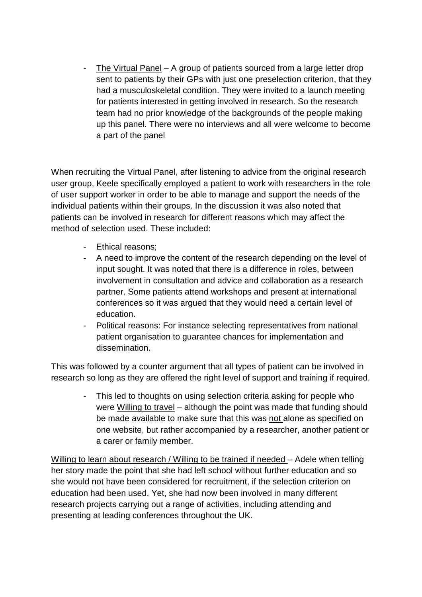The Virtual Panel – A group of patients sourced from a large letter drop sent to patients by their GPs with just one preselection criterion, that they had a musculoskeletal condition. They were invited to a launch meeting for patients interested in getting involved in research. So the research team had no prior knowledge of the backgrounds of the people making up this panel. There were no interviews and all were welcome to become a part of the panel

When recruiting the Virtual Panel, after listening to advice from the original research user group, Keele specifically employed a patient to work with researchers in the role of user support worker in order to be able to manage and support the needs of the individual patients within their groups. In the discussion it was also noted that patients can be involved in research for different reasons which may affect the method of selection used. These included:

- Ethical reasons;
- A need to improve the content of the research depending on the level of input sought. It was noted that there is a difference in roles, between involvement in consultation and advice and collaboration as a research partner. Some patients attend workshops and present at international conferences so it was argued that they would need a certain level of education.
- Political reasons: For instance selecting representatives from national patient organisation to guarantee chances for implementation and dissemination.

This was followed by a counter argument that all types of patient can be involved in research so long as they are offered the right level of support and training if required.

This led to thoughts on using selection criteria asking for people who were Willing to travel – although the point was made that funding should be made available to make sure that this was not alone as specified on one website, but rather accompanied by a researcher, another patient or a carer or family member.

Willing to learn about research / Willing to be trained if needed – Adele when telling her story made the point that she had left school without further education and so she would not have been considered for recruitment, if the selection criterion on education had been used. Yet, she had now been involved in many different research projects carrying out a range of activities, including attending and presenting at leading conferences throughout the UK.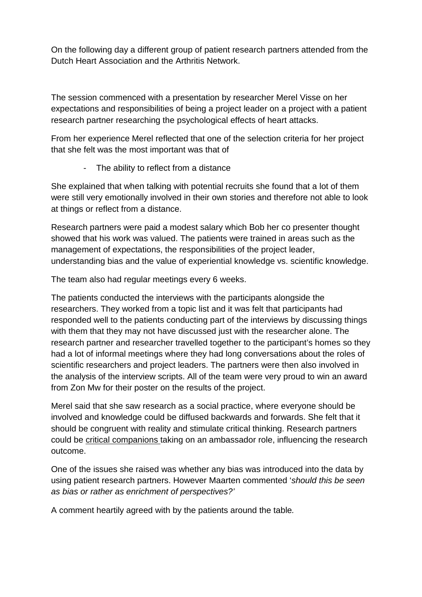On the following day a different group of patient research partners attended from the Dutch Heart Association and the Arthritis Network.

The session commenced with a presentation by researcher Merel Visse on her expectations and responsibilities of being a project leader on a project with a patient research partner researching the psychological effects of heart attacks.

From her experience Merel reflected that one of the selection criteria for her project that she felt was the most important was that of

The ability to reflect from a distance

She explained that when talking with potential recruits she found that a lot of them were still very emotionally involved in their own stories and therefore not able to look at things or reflect from a distance.

Research partners were paid a modest salary which Bob her co presenter thought showed that his work was valued. The patients were trained in areas such as the management of expectations, the responsibilities of the project leader, understanding bias and the value of experiential knowledge vs. scientific knowledge.

The team also had regular meetings every 6 weeks.

The patients conducted the interviews with the participants alongside the researchers. They worked from a topic list and it was felt that participants had responded well to the patients conducting part of the interviews by discussing things with them that they may not have discussed just with the researcher alone. The research partner and researcher travelled together to the participant's homes so they had a lot of informal meetings where they had long conversations about the roles of scientific researchers and project leaders. The partners were then also involved in the analysis of the interview scripts. All of the team were very proud to win an award from Zon Mw for their poster on the results of the project.

Merel said that she saw research as a social practice, where everyone should be involved and knowledge could be diffused backwards and forwards. She felt that it should be congruent with reality and stimulate critical thinking. Research partners could be critical companions taking on an ambassador role, influencing the research outcome.

One of the issues she raised was whether any bias was introduced into the data by using patient research partners. However Maarten commented 'should this be seen as bias or rather as enrichment of perspectives?'

A comment heartily agreed with by the patients around the table.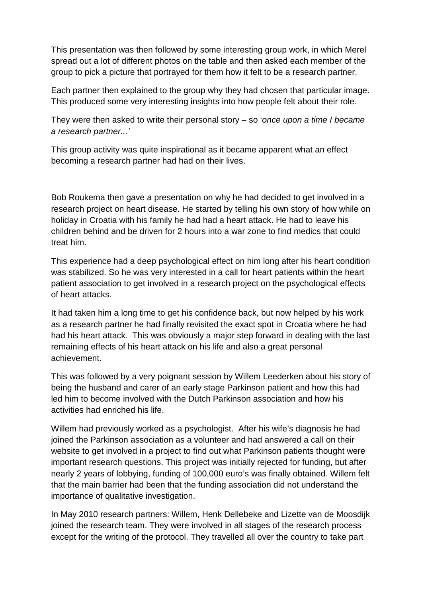This presentation was then followed by some interesting group work, in which Merel spread out a lot of different photos on the table and then asked each member of the group to pick a picture that portrayed for them how it felt to be a research partner.

Each partner then explained to the group why they had chosen that particular image. This produced some very interesting insights into how people felt about their role.

They were then asked to write their personal story  $-$  so 'once upon a time I became a research partner...'

This group activity was quite inspirational as it became apparent what an effect becoming a research partner had had on their lives.

Bob Roukema then gave a presentation on why he had decided to get involved in a research project on heart disease. He started by telling his own story of how while on holiday in Croatia with his family he had had a heart attack. He had to leave his children behind and be driven for 2 hours into a war zone to find medics that could treat him.

This experience had a deep psychological effect on him long after his heart condition was stabilized. So he was very interested in a call for heart patients within the heart patient association to get involved in a research project on the psychological effects of heart attacks.

It had taken him a long time to get his confidence back, but now helped by his work as a research partner he had finally revisited the exact spot in Croatia where he had had his heart attack. This was obviously a major step forward in dealing with the last remaining effects of his heart attack on his life and also a great personal achievement.

This was followed by a very poignant session by Willem Leederken about his story of being the husband and carer of an early stage Parkinson patient and how this had led him to become involved with the Dutch Parkinson association and how his activities had enriched his life.

Willem had previously worked as a psychologist. After his wife's diagnosis he had joined the Parkinson association as a volunteer and had answered a call on their website to get involved in a project to find out what Parkinson patients thought were important research questions. This project was initially rejected for funding, but after nearly 2 years of lobbying, funding of 100,000 euro's was finally obtained. Willem felt that the main barrier had been that the funding association did not understand the importance of qualitative investigation.

In May 2010 research partners: Willem, Henk Dellebeke and Lizette van de Moosdijk joined the research team. They were involved in all stages of the research process except for the writing of the protocol. They travelled all over the country to take part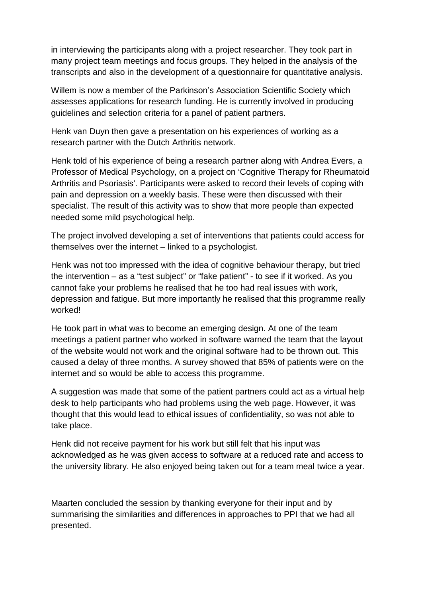in interviewing the participants along with a project researcher. They took part in many project team meetings and focus groups. They helped in the analysis of the transcripts and also in the development of a questionnaire for quantitative analysis.

Willem is now a member of the Parkinson's Association Scientific Society which assesses applications for research funding. He is currently involved in producing guidelines and selection criteria for a panel of patient partners.

Henk van Duyn then gave a presentation on his experiences of working as a research partner with the Dutch Arthritis network.

Henk told of his experience of being a research partner along with Andrea Evers, a Professor of Medical Psychology, on a project on 'Cognitive Therapy for Rheumatoid Arthritis and Psoriasis'. Participants were asked to record their levels of coping with pain and depression on a weekly basis. These were then discussed with their specialist. The result of this activity was to show that more people than expected needed some mild psychological help.

The project involved developing a set of interventions that patients could access for themselves over the internet – linked to a psychologist.

Henk was not too impressed with the idea of cognitive behaviour therapy, but tried the intervention – as a "test subject" or "fake patient" - to see if it worked. As you cannot fake your problems he realised that he too had real issues with work, depression and fatigue. But more importantly he realised that this programme really worked!

He took part in what was to become an emerging design. At one of the team meetings a patient partner who worked in software warned the team that the layout of the website would not work and the original software had to be thrown out. This caused a delay of three months. A survey showed that 85% of patients were on the internet and so would be able to access this programme.

A suggestion was made that some of the patient partners could act as a virtual help desk to help participants who had problems using the web page. However, it was thought that this would lead to ethical issues of confidentiality, so was not able to take place.

Henk did not receive payment for his work but still felt that his input was acknowledged as he was given access to software at a reduced rate and access to the university library. He also enjoyed being taken out for a team meal twice a year.

Maarten concluded the session by thanking everyone for their input and by summarising the similarities and differences in approaches to PPI that we had all presented.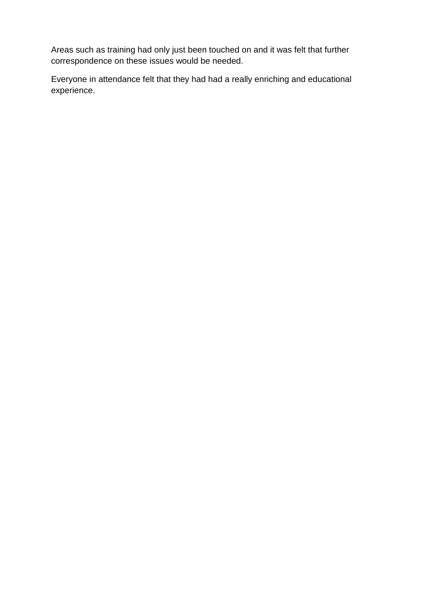Areas such as training had only just been touched on and it was felt that further correspondence on these issues would be needed.

Everyone in attendance felt that they had had a really enriching and educational experience.